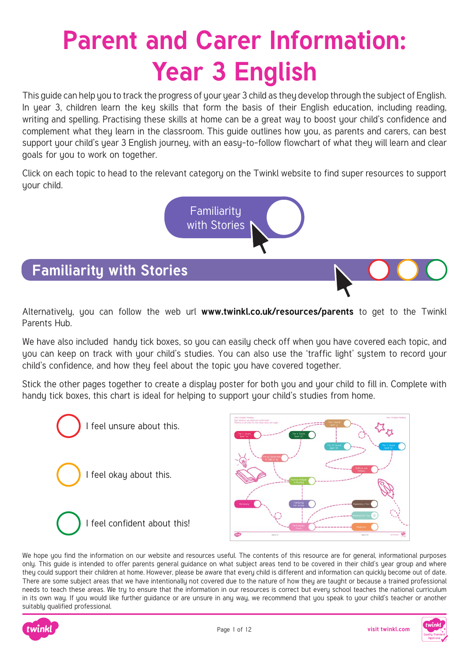# **Parent and Carer Information: Year 3 English**

This guide can help you to track the progress of your year 3 child as they develop through the subject of English. In year 3, children learn the key skills that form the basis of their English education, including reading, writing and spelling. Practising these skills at home can be a great way to boost your child's confidence and complement what they learn in the classroom. This guide outlines how you, as parents and carers, can best support your child's year 3 English journey, with an easy-to-follow flowchart of what they will learn and clear goals for you to work on together.

Click on each topic to head to the relevant category on the Twinkl website to find super resources to support your child.

> Familiarity with Stories

# **Familiarity with Stories**

Alternatively, you can follow the web url **[www.twinkl.co.uk/resources/parents](https://www.twinkl.co.uk/resources/parents)** to get to the Twinkl Parents Hub.

We have also included handy tick boxes, so you can easily check off when you have covered each topic, and you can keep on track with your child's studies. You can also use the 'traffic light' system to record your child's confidence, and how they feel about the topic you have covered together.

Stick the other pages together to create a display poster for both you and your child to fill in. Complete with handy tick boxes, this chart is ideal for helping to support your child's studies from home.





We hope you find the information on our website and resources useful. The contents of this resource are for general, informational purposes only. This guide is intended to offer parents general guidance on what subject areas tend to be covered in their child's year group and where they could support their children at home. However, please be aware that every child is different and information can quickly become out of date. There are some subject areas that we have intentionally not covered due to the nature of how they are taught or because a trained professional needs to teach these areas. We try to ensure that the information in our resources is correct but every school teaches the national curriculum in its own way. If you would like further guidance or are unsure in any way, we recommend that you speak to your child's teacher or another suitably qualified professional.



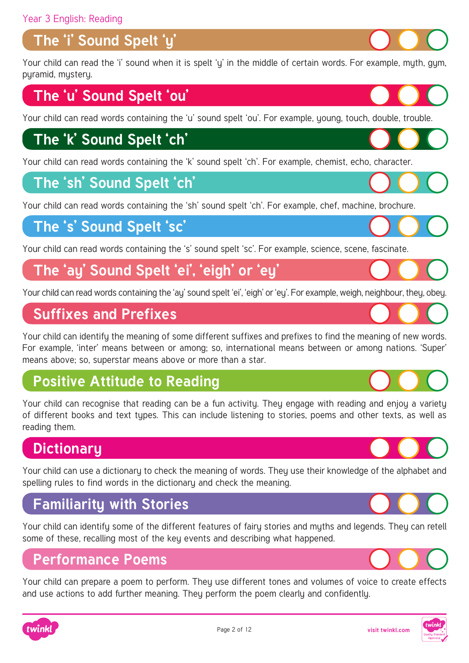## **The 'i' Sound Spelt 'y'**

Your child can read the 'i' sound when it is spelt 'y' in the middle of certain words. For example, myth, gym, pyramid, mystery.

#### **The 'u' Sound Spelt 'ou'**

[Your child can read words containing the 'u' sound spelt 'ou'. For example, young, touch, double, trouble.](https://www.twinkl.co.uk/resources/english-main-subjects-parents/spelling-english-main-subjects-parents/spelling-year-2-ages-7-8-spelling-main-subjects-parents)

#### **The 'k' Sound Spelt 'ch'**

[Your child can read words containing the 'k' sound spelt 'ch'. For example, chemist, echo, character.](https://www.twinkl.co.uk/resources/english-main-subjects-parents/spelling-english-main-subjects-parents/spelling-year-2-ages-7-8-spelling-main-subjects-parents)

#### **The 'sh' Sound Spelt 'ch'**

[Your child can read words containing the 'sh' sound spelt 'ch'. For example, chef, machine, brochure.](https://www.twinkl.co.uk/resources/english-main-subjects-parents/spelling-english-main-subjects-parents/spelling-year-2-ages-7-8-spelling-main-subjects-parents/2)

#### **The 's' Sound Spelt 'sc'**

[Your child can read words containing the 's' sound spelt 'sc'. For example, science, scene, fascinate.](https://www.twinkl.co.uk/resources/english-main-subjects-parents/spelling-english-main-subjects-parents/spelling-year-2-ages-7-8-spelling-main-subjects-parents/2)

#### **[The 'ay' Sound Spelt 'ei', 'eigh' or 'ey'](https://www.twinkl.co.uk/resources/english-main-subjects-parents/spelling-english-main-subjects-parents/spelling-year-2-ages-7-8-spelling-main-subjects-parents/2)**

Your child can read words containing the 'ay' sound spelt 'ei', 'eigh' or 'ey'. For example, weigh, neighbour, they, obey.

#### **Suffixes and Prefixes**

[Your child can identify the meaning of some different suffixes and prefixes to find the meaning of new words.](https://www.twinkl.co.uk/resource/t2-e-1955-match-the-prefixes-and-root-words-differentiated-activity-sheets)  For example, 'inter' means between or among; so, international means between or among nations. 'Super' means above; so, superstar means above or more than a star.

#### **Positive Attitude to Reading**

[Your child can recognise that reading can be a fun activity. They engage with reading and enjoy a variety](https://www.twinkl.co.uk/resources/english-main-subjects-parents/reading-comprehension-english-main-subjects-parents/reading-comprehension-year-3-ages-7-8-english-main-subjects-parents)  of different books and text types. This can include listening to stories, poems and other texts, as well as reading them.

## **Dictionary**

[Your child can use a dictionary to check the meaning of words. They use their knowledge of the alphabet and](https://www.twinkl.co.uk/resources/english-main-subjects-parents/reading-comprehension-english-main-subjects-parents/reading-comprehension-year-3-ages-7-8-english-main-subjects-parents)  spelling rules to find words in the dictionary and check the meaning.

#### **Familiarity with Stories**

[Your child can identify some of the different features of fairy stories and myths and legends. They can retell](https://www.twinkl.co.uk/resources/english-main-subjects-parents/reading-comprehension-english-main-subjects-parents/reading-comprehension-year-3-ages-7-8-english-main-subjects-parents)  some of these, recalling most of the key events and describing what happened.

#### **Performance Poems**

[Your child can prepare a poem to perform. They use different tones and volumes of voice to create effects](https://www.twinkl.co.uk/resources/english-main-subjects-parents/poetry-english-main-subjects-parents/poetry-year-3-ages-7-8-english-main-subjects-parents)  and use actions to add further meaning. They perform the poem clearly and confidently.













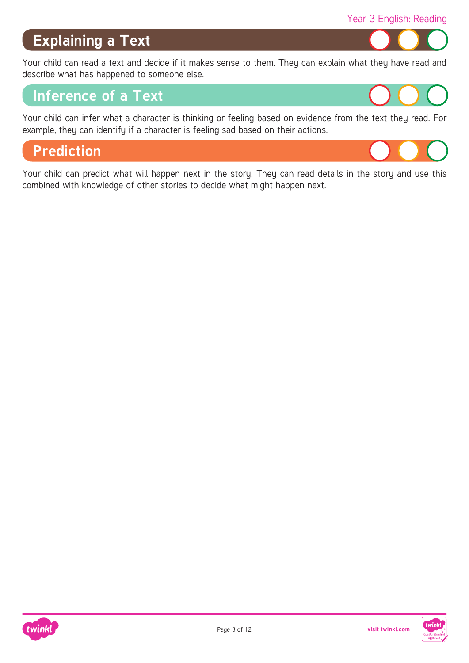#### **Explaining a Text**

[Your child can read a text and decide if it makes sense to them. They can explain what they have read and](https://www.twinkl.co.uk/resources/english-main-subjects-parents/reading-comprehension-english-main-subjects-parents/reading-comprehension-year-3-ages-7-8-english-main-subjects-parents)  describe what has happened to someone else.

#### **Inference of a Text**

[Your child can infer what a character is thinking or feeling based on evidence from the text they read. For](https://www.twinkl.co.uk/resources/english-main-subjects-parents/reading-comprehension-english-main-subjects-parents/reading-comprehension-year-3-ages-7-8-english-main-subjects-parents)  example, they can identify if a character is feeling sad based on their actions.

#### **Prediction**

[Your child can predict what will happen next in the story. They can read details in the story and use this](https://www.twinkl.co.uk/resources/english-main-subjects-parents/reading-comprehension-english-main-subjects-parents/reading-comprehension-year-3-ages-7-8-english-main-subjects-parents)  combined with knowledge of other stories to decide what might happen next.





Year 3 English: Reading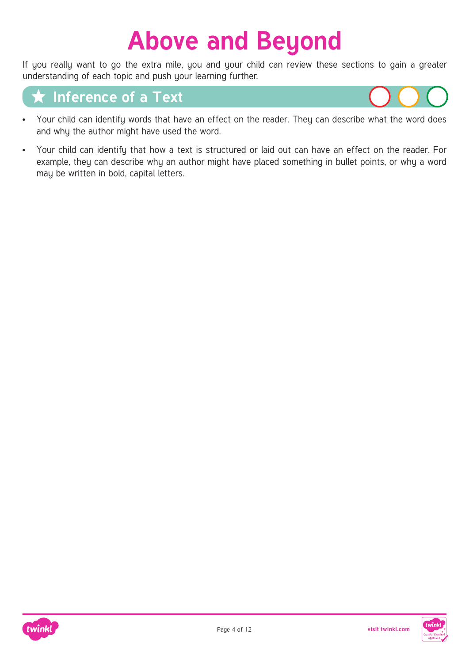## **Above and Beyond**

If you really want to go the extra mile, you and your child can review these sections to gain a greater understanding of each topic and push your learning further.

#### **Inference of a Text**



- [Your child can identify words that have an effect on the reader. They can describe what the word does](https://www.twinkl.co.uk/resources/english-main-subjects-parents/reading-comprehension-english-main-subjects-parents/reading-comprehension-year-4-ages-8-9-english-main-subjects-parents)  and why the author might have used the word.
- Your child can identify that how a text is structured or laid out can have an effect on the reader. For example, they can describe why an author might have placed something in bullet points, or why a word may be written in bold, capital letters.



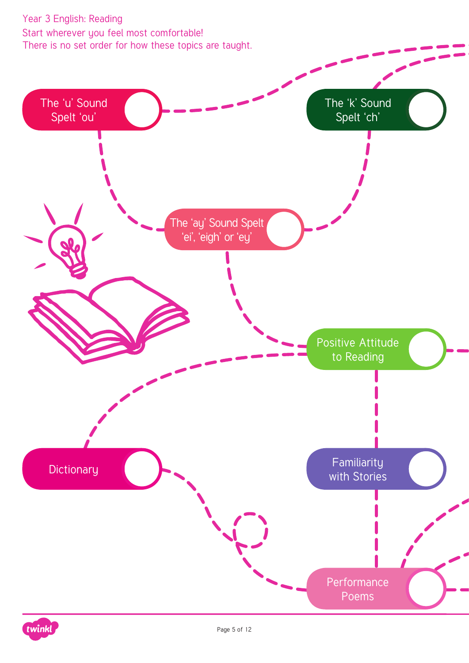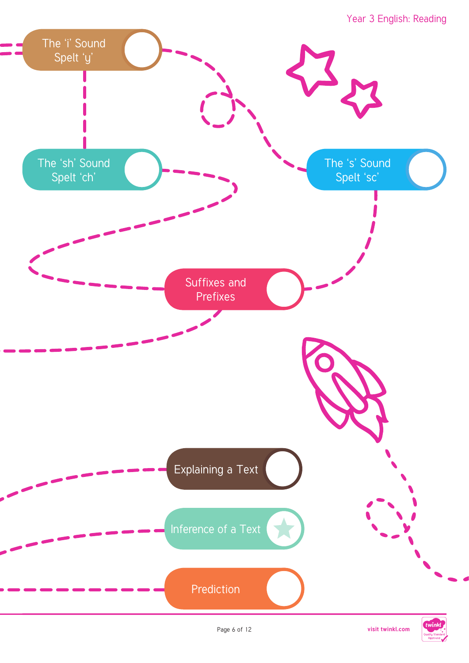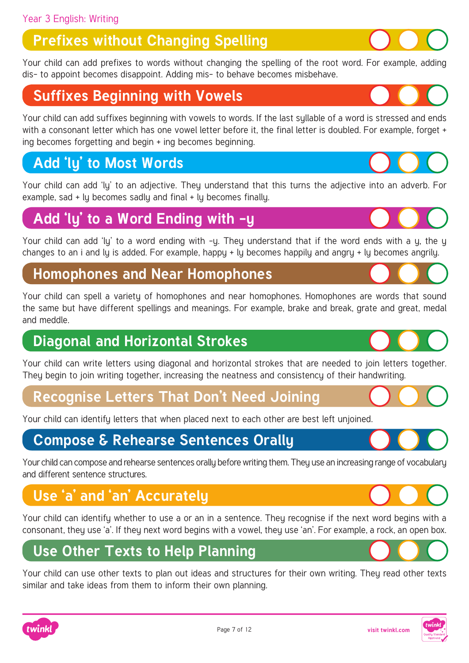## **Prefixes without Changing Spelling**

[Your child can add prefixes to words without changing the spelling of the root word. For example, adding](https://www.twinkl.co.uk/resources/english-main-subjects-parents/spelling-english-main-subjects-parents/spelling-year-2-ages-7-8-spelling-main-subjects-parents)  dis- to appoint becomes disappoint. Adding mis- to behave becomes misbehave.

#### **Suffixes Beginning with Vowels**

[Your child can add suffixes beginning with vowels to words. If the last syllable of a word is stressed and ends](https://www.twinkl.co.uk/resources/english-main-subjects-parents/spelling-english-main-subjects-parents/spelling-year-2-ages-7-8-spelling-main-subjects-parents)  with a consonant letter which has one vowel letter before it, the final letter is doubled. For example, forget + ing becomes forgetting and begin + ing becomes beginning.

## **Add 'ly' to Most Words**

[Your child can add 'ly' to an adjective. They understand that this turns the adjective into an adverb. For](https://www.twinkl.co.uk/resources/english-main-subjects-parents/spelling-english-main-subjects-parents/spelling-year-2-ages-7-8-spelling-main-subjects-parents)  example, sad + ly becomes sadly and final + ly becomes finally.

#### **Add 'ly' to a Word Ending with -y**

Your child can add 'ly' to a word ending with -y. They understand that if the word ends with a y, the y changes to an i and ly is added. For example, happy + ly becomes happily and angry + ly becomes angrily.

#### **Homophones and Near Homophones**

[Your child can spell a variety of homophones and near homophones. Homophones are words that sound](https://www.twinkl.co.uk/resources/english-main-subjects-parents/spelling-english-main-subjects-parents/spelling-year-2-ages-7-8-spelling-main-subjects-parents)  the same but have different spellings and meanings. For example, brake and break, grate and great, medal and meddle.

#### **Diagonal and Horizontal Strokes**

[Your child can write letters using diagonal and horizontal strokes that are needed to join letters together.](https://www.twinkl.co.uk/resources/english-main-subjects-parents/handwriting-and-letter-formation-english-main-subjects-parents/handwriting-and-letter-formation-year-3-ages-7-8-english-main-subjects-parents)  They begin to join writing together, increasing the neatness and consistency of their handwriting.

#### **[Recognise Letters That Don't Need Joining](https://www.twinkl.co.uk/resources/english-main-subjects-parents/handwriting-and-letter-formation-english-main-subjects-parents/handwriting-and-letter-formation-year-3-ages-7-8-english-main-subjects-parents)**

Your child can identify letters that when placed next to each other are best left unjoined.

#### **Compose & Rehearse Sentences Orally**

[Your child can compose and rehearse sentences orally before writing them. They use an increasing range of vocabulary](https://www.twinkl.co.uk/resources/english-main-subjects-parents/creative-writing-english-main-subjects-parents/creative-writing-year-3-ages-7-8-english-main-subjects-parents)  and different sentence structures.

## **Use 'a' and 'an' Accurately**

[Your child can identify whether to use a or an in a sentence. They recognise if the next word begins with a](https://www.twinkl.co.uk/resources/english-main-subjects-parents/spelling-english-main-subjects-parents/spelling-year-2-ages-7-8-spelling-main-subjects-parents)  consonant, they use 'a'. If they next word begins with a vowel, they use 'an'. For example, a rock, an open box.

#### **Use Other Texts to Help Planning**

[Your child can use other texts to plan out ideas and structures for their own writing. They read other texts](https://www.twinkl.co.uk/resources/english-main-subjects-parents/creative-writing-english-main-subjects-parents/creative-writing-year-3-ages-7-8-english-main-subjects-parents)  similar and take ideas from them to inform their own planning.











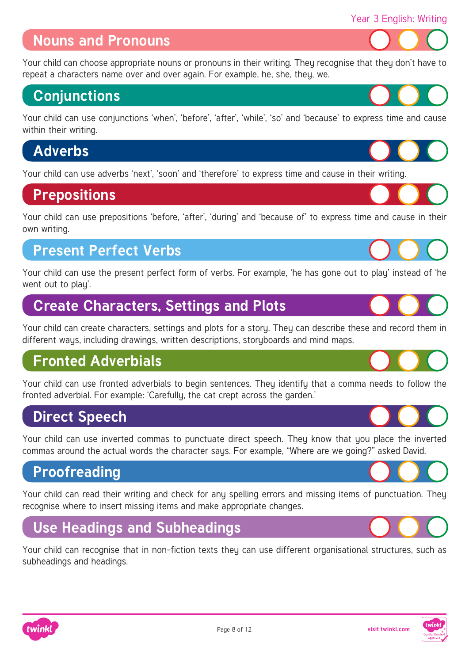#### **Nouns and Pronouns**

[Your child can choose appropriate nouns or pronouns in their writing. They recognise that they don't have to](https://www.twinkl.co.uk/resources/english-main-subjects-parents/nouns-and-noun-phrases-english-main-subjects-parents/nouns-and-noun-phrases-year-3-ages-7-8-english-main-subjects-parents)  repeat a characters name over and over again. For example, he, she, they, we.

#### **Conjunctions**

[Your child can use conjunctions 'when', 'before', 'after', 'while', 'so' and 'because' to express time and cause](https://www.twinkl.co.uk/resource/t-l-8504-i-saw-a-wabub-display-poster)  within their writing.

## **Adverbs**

[Your child can use adverbs 'next', 'soon' and 'therefore' to express time and cause in their writing.](https://www.twinkl.co.uk/resources/english-main-subjects-parents/adjectives-and-adverbs-english-main-subjects-parents/adjectives-and-adverbs-year-3-ages-7-8-english-main-subjects-parents)

#### **Prepositions**

[Your child can use prepositions 'before, 'after', 'during' and 'because of' to express time and cause in their](https://www.twinkl.co.uk/resource/t2-e-3813-prepositions-and-prepositional-phrases-home-learning-activity-sheets)  own writing.

#### **Present Perfect Verbs**

[Your child can use the present perfect form of verbs. For example, 'he has gone out to play' instead of 'he](https://www.twinkl.co.uk/resources/english-main-subjects-parents/past-and-present-tense-english-main-subjects-parents/past-and-present-tense-year-3-ages-7-8-english-main-subjects-parents)  went out to play'.

## **Create Characters, Settings and Plots**

[Your child can create characters, settings and plots for a story. They can describe these and record them in](https://www.twinkl.co.uk/resources/english-main-subjects-parents/creative-writing-english-main-subjects-parents/creative-writing-year-3-ages-7-8-english-main-subjects-parents)  different ways, including drawings, written descriptions, storyboards and mind maps.

#### **Fronted Adverbials**

[Your child can use fronted adverbials to begin sentences. They identify that a comma needs to follow the](https://www.twinkl.co.uk/resources/english-main-subjects-parents/adjectives-and-adverbs-english-main-subjects-parents/adjectives-and-adverbs-year-3-ages-7-8-english-main-subjects-parents)  fronted adverbial. For example: 'Carefully, the cat crept across the garden.'

#### **Direct Speech**

Your child can use inverted commas to punctuate direct speech. They know that you place the inverted commas around the actual words the character says. For example, "Where are we going?" asked David.

#### **Proofreading**

twinkl

[Your child can read their writing and check for any spelling errors and missing items of punctuation. They](https://www.twinkl.co.uk/resource/au-t2-e-4000-sharks-editing-passages-activity-sheet)  recognise where to insert missing items and make appropriate changes.

## **Use Headings and Subheadings**

[Your child can recognise that in non-fiction texts they can use different organisational structures, such as](https://www.twinkl.co.uk/resources/english-main-subjects-parents/non-fiction-english-main-subjects-parents/non-fiction-year-3-ages-7-8-english-main-subjects-parents)  subheadings and headings.











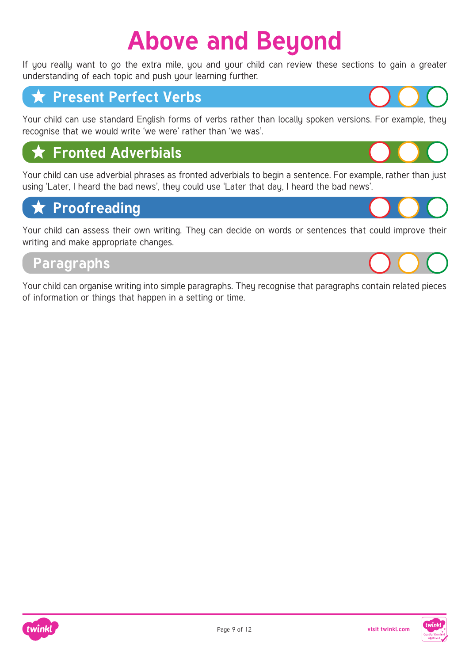## **Above and Beyond**

If you really want to go the extra mile, you and your child can review these sections to gain a greater understanding of each topic and push your learning further.

#### **★ Present Perfect Verbs**

[Your child can use standard English forms of verbs rather than locally spoken versions. For example, they](https://www.twinkl.co.uk/resources/english-main-subjects-parents/past-and-present-tense-english-main-subjects-parents/past-and-present-tense-year-4-ages-8-9-english-main-subjects-parents)  recognise that we would write 'we were' rather than 'we was'.

## **Fronted Adverbials**

[Your child can use adverbial phrases as fronted adverbials to begin a sentence. For example, rather than just](https://www.twinkl.co.uk/resources/english-main-subjects-parents/adjectives-and-adverbs-english-main-subjects-parents/adjectives-and-adverbs-year-4-ages-8-9-english-main-subjects-parents)  using 'Later, I heard the bad news', they could use 'Later that day, I heard the bad news'.

## **Proofreading**

[Your child can assess their own writing. They can decide on words or sentences that could improve their](https://www.twinkl.co.uk/resource/t2-e-2272-year-3-and-4-correct-the-spelling-mistakes-activity-sheets)  writing and make appropriate changes.

#### **Paragraphs**

[Your child can organise writing into simple paragraphs. They recognise that paragraphs contain related pieces](https://www.twinkl.co.uk/resources/english-main-subjects-parents/punctuation-english-main-subjects-parents/punctuation-year-3-ages-7-8-english-main-subjects-parents)  of information or things that happen in a setting or time.



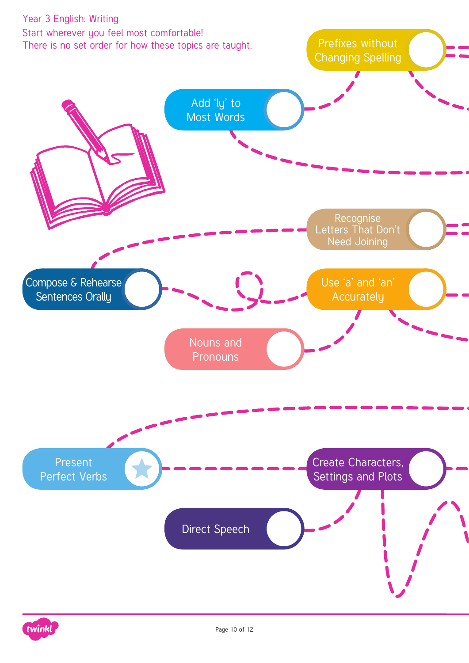

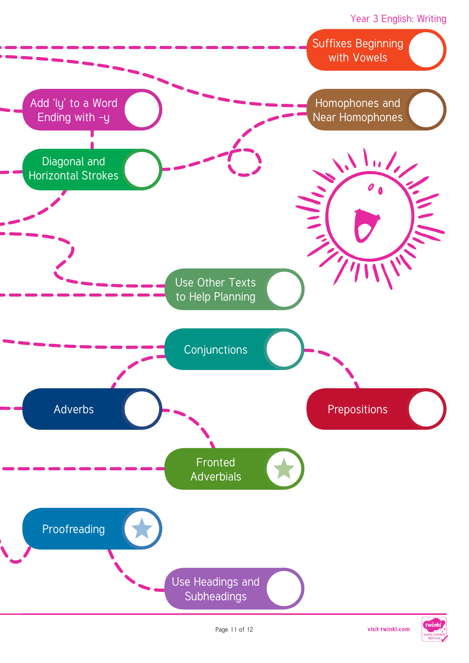